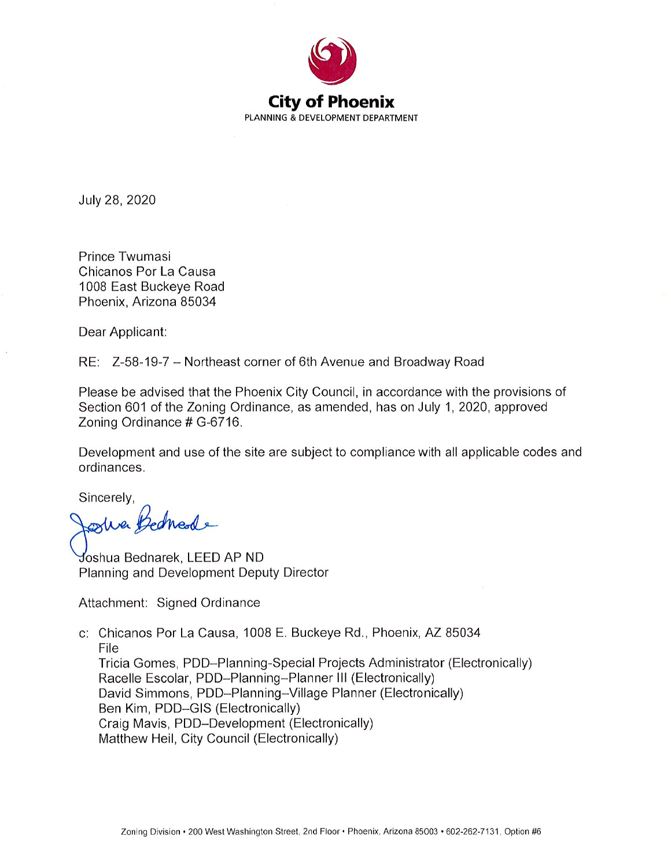

July 28, 2020

Prince Twumasi Chicanos Por La Causa 1008 East Buckeye Road Phoenix, Arizona 85034

Dear Applicant:

RE: Z-58-19-7 - Northeast corner of 6th Avenue and Broadway Road

Please be advised that the Phoenix City Council, in accordance with the provisions of Section 601 of the Zoning Ordinance, as amended, has on July 1, 2020, approved Zoning Ordinance # G-6716.

Development and use of the site are subject to compliance with all applicable codes and ordinances.

Sincerely,

she Bednesde

Joshua Bednarek, LEED AP ND Planning and Development Deputy Director

Attachment: Signed Ordinance

c: Chicanos Por La Causa, 1008 E. Buckeye Rd., Phoenix, AZ 85034 File Tricia Gomes, PDD-Planning-Special Projects Administrator (Electronically) Racelle Escolar, PDD-Planning-Planner III (Electronically) David Simmons, PDD-Planning-Village Planner (Electronically) Ben Kim, PDD-GIS (Electronically) Craig Mavis, PDD-Development (Electronically) Matthew Heil, City Council (Electronically)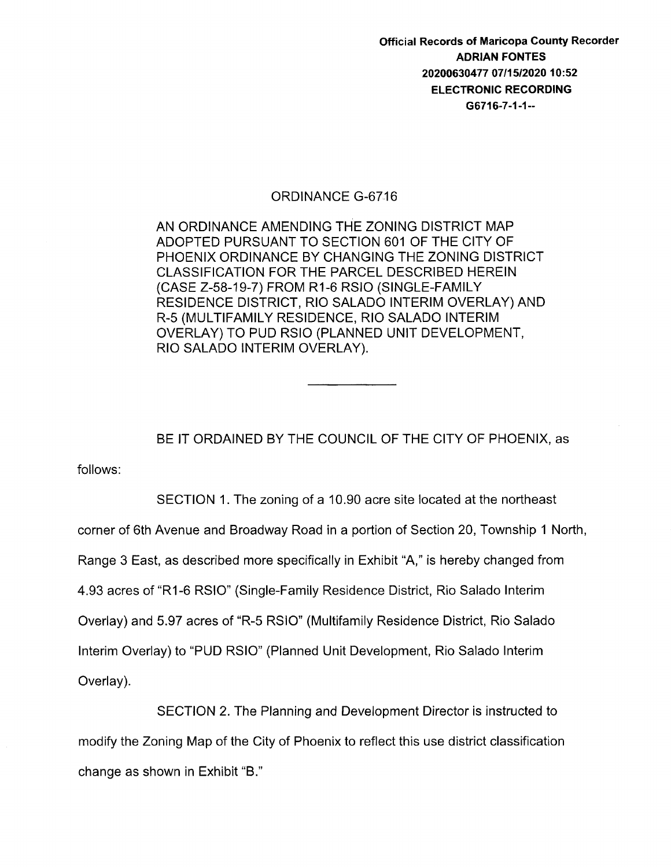Official Records of Maricopa County Recorder ADRIAN FONTES 20200630477 07/15/2020 10:52 ELECTRONIC RECORDING G6716-7-1-1--

## ORDINANCE G-6716

AN ORDINANCE AMENDING THE ZONING DISTRICT MAP ADOPTED PURSUANT TO SECTION 601 OF THE CITY OF PHOENIX ORDINANCE BY CHANGING THE ZONING DISTRICT CLASSIFICATION FOR THE PARCEL DESCRIBED HEREIN (CASE Z-58-19-7) FROM R1-6 RSIO (SINGLE-FAMILY RESIDENCE DISTRICT, RIO SALADO INTERIM OVERLAY) AND R-5 (MULTIFAMILY RESIDENCE, RIO SALADO INTERIM OVERLAY) TO PUD RSIO (PLANNED UNIT DEVELOPMENT, RIO SALADO INTERIM OVERLAY).

BE IT ORDAINED BY THE COUNCIL OF THE CITY OF PHOENIX, as

follows:

SECTION 1. The zoning of a 10.90 acre site located at the northeast

corner of 6th Avenue and Broadway Road in a portion of Section 20, Township 1 North,

Range 3 East, as described more specifically in Exhibit "A," is hereby changed from

4.93 acres of "R1-6 RSIO" (Single-Family Residence District, Rio Salado Interim

Overlay) and 5.97 acres of "R-5 RSIO" (Multifamily Residence District, Rio Salado

Interim Overlay) to "PUD RSIO" (Planned Unit Development, Rio Salado Interim

Overlay).

SECTION 2. The Planning and Development Director is instructed to modify the Zoning Map of the City of Phoenix to reflect this use district classification change as shown in Exhibit "B."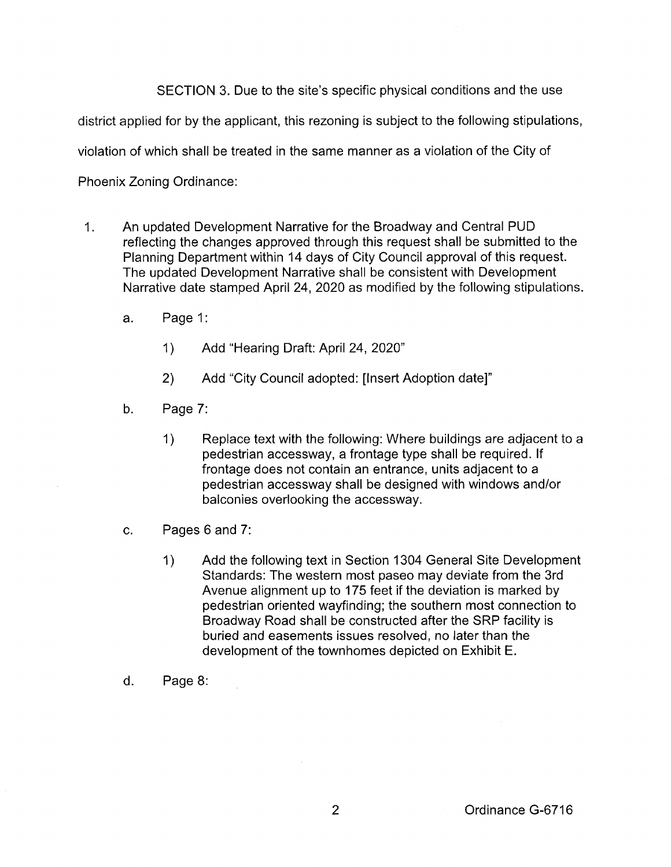SECTION 3. Due to the site's specific physical conditions and the use

district applied for by the applicant, this rezoning is subject to the following stipulations,

violation of which shall be treated in the same manner as a violation of the City of

Phoenix Zoning Ordinance:

- 1. An updated Development Narrative for the Broadway and Central PUD reflecting the changes approved through this request shall be submitted to the Planning Department within 14 days of City Council approval of this request. The updated Development Narrative shall be consistent with Development Narrative date stamped April 24, 2020 as modified by the following stipulations.
	- a. Page 1:
		- 1) Add "Hearing Draft: April 24, 2020"
		- 2) Add "City Council adopted: [Insert Adoption date]"
	- b. Page 7:
		- 1) Replace text with the following: Where buildings are adjacent to a pedestrian accessway, a frontage type shall be required. If frontage does not contain an entrance, units adjacent to a pedestrian accessway shall be designed with windows and/or balconies overlooking the accessway.
	- c. Pages 6 and 7:
		- 1) Add the following text in Section 1304 General Site Development Standards: The western most paseo may deviate from the 3rd Avenue alignment up to 175 feet if the deviation is marked by pedestrian oriented wayfinding; the southern most connection to Broadway Road shall be constructed after the SRP facility is buried and easements issues resolved, no later than the development of the town homes depicted on Exhibit E.
	- d. Page 8: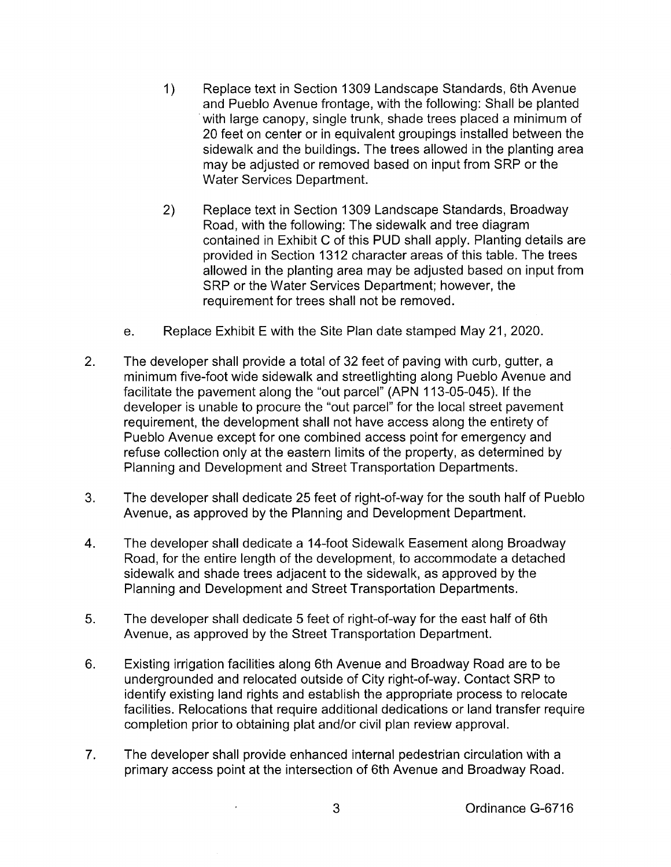- 1) Replace text in Section 1309 Landscape Standards, 6th Avenue and Pueblo Avenue frontage, with the following: Shall be planted with large canopy, single trunk, shade trees placed a minimum of 20 feet on center or in equivalent groupings installed between the sidewalk and the buildings. The trees allowed in the planting area may be adjusted or removed based on input from SRP or the Water Services Department.
- 2) Replace text in Section 1309 Landscape Standards, Broadway Road, with the following: The sidewalk and tree diagram contained in Exhibit C of this PUD shall apply. Planting details are provided in Section 1312 character areas of this table. The trees allowed in the planting area may be adjusted based on input from SRP or the Water Services Department; however, the requirement for trees shall not be removed.
- e. Replace Exhibit E with the Site Plan date stamped May 21, 2020.
- 2. The developer shall provide a total of 32 feet of paving with curb, gutter, a minimum five-foot wide sidewalk and streetlighting along Pueblo Avenue and facilitate the pavement along the "out parcel" (APN 113-05-045). If the developer is unable to procure the "out parcel" for the local street pavement requirement, the development shall not have access along the entirety of Pueblo Avenue except for one combined access point for emergency and refuse collection only at the eastern limits of the property, as determined by Planning and Development and Street Transportation Departments.
- 3. The developer shall dedicate 25 feet of right-of-way for the south half of Pueblo Avenue, as approved by the Planning and Development Department.
- 4. The developer shall dedicate a 14-foot Sidewalk Easement along Broadway Road, for the entire length of the development, to accommodate a detached sidewalk and shade trees adjacent to the sidewalk, as approved by the Planning and Development and Street Transportation Departments.
- 5. The developer shall dedicate 5 feet of right-of-way for the east half of 6th Avenue, as approved by the Street Transportation Department.
- 6. Existing irrigation facilities along 6th Avenue and Broadway Road are to be undergrounded and relocated outside of City right-of-way. Contact SRP to identify existing land rights and establish the appropriate process to relocate facilities. Relocations that require additional dedications or land transfer require completion prior to obtaining plat and/or civil plan review approval.
- 7. The developer shall provide enhanced internal pedestrian circulation with a primary access point at the intersection of 6th Avenue and Broadway Road.

 $\cdot$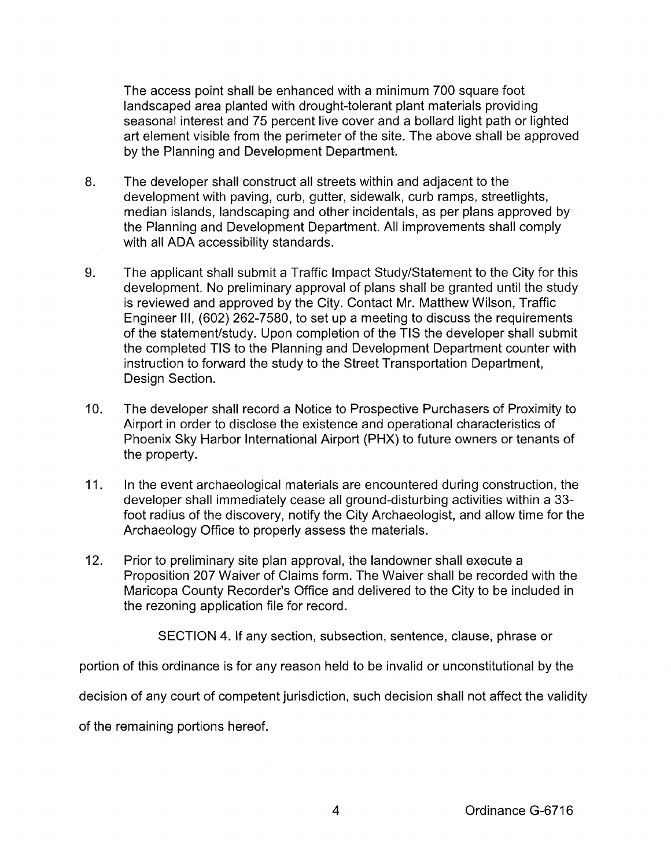The access point shall be enhanced with a minimum 700 square foot landscaped area planted with drought-tolerant plant materials providing seasonal interest and 75 percent live cover and a bollard light path or lighted art element visible from the perimeter of the site. The above shall be approved by the Planning and Development Department.

- 8. The developer shall construct all streets within and adjacent to the development with paving, curb, gutter, sidewalk, curb ramps, streetlights, median islands, landscaping and other incidentals, as per plans approved by the Planning and Development Department. All improvements shall comply with all ADA accessibility standards.
- 9. The applicant shall submit a Traffic Impact Study/Statement to the City for this development. No preliminary approval of plans shall be granted until the study is reviewed and approved by the City. Contact Mr. Matthew Wilson, Traffic Engineer Ill, (602) 262-7580, to set up a meeting to discuss the requirements of the statement/study. Upon completion of the TIS the developer shall submit the completed TIS to the Planning and Development Department counter with instruction to forward the study to the Street Transportation Department, Design Section.
- 10. The developer shall record a Notice to Prospective Purchasers of Proximity to Airport in order to disclose the existence and operational characteristics of Phoenix Sky Harbor International Airport (PHX) to future owners or tenants of the property.
- 11. In the event archaeological materials are encountered during construction, the developer shall immediately cease all ground-disturbing activities within a 33 foot radius of the discovery, notify the City Archaeologist, and allow time for the Archaeology Office to properly assess the materials.
- 12. Prior to preliminary site plan approval, the landowner shall execute a Proposition 207 Waiver of Claims form. The Waiver shall be recorded with the Maricopa County Recorder's Office and delivered to the City to be included in the rezoning application file for record.

SECTION 4. If any section, subsection, sentence, clause, phrase or

portion of this ordinance is for any reason held to be invalid or unconstitutional by the

decision of any court of competent jurisdiction, such decision shall not affect the validity

of the remaining portions hereof.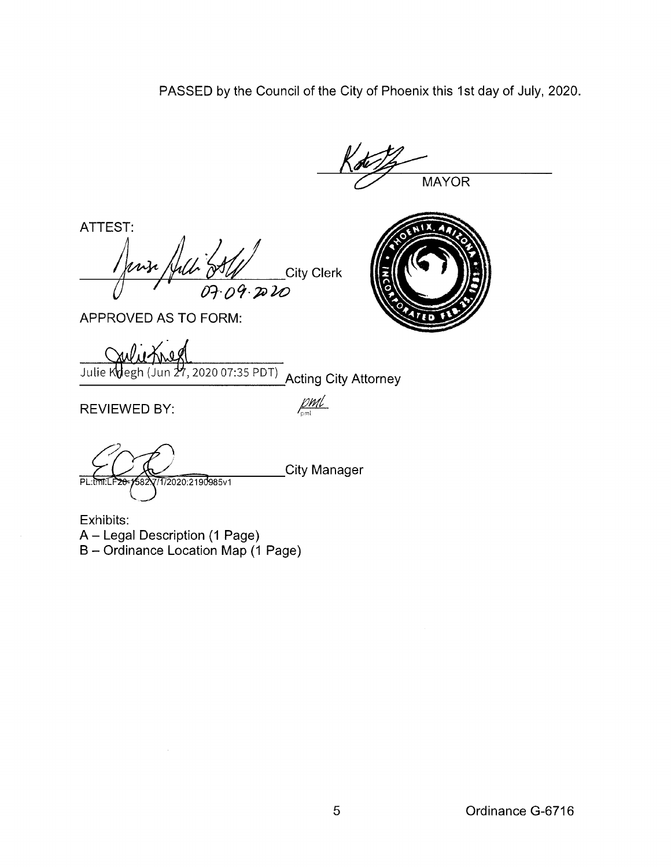PASSED by the Council of the City of Phoenix this 1st day of July, 2020.

**MAYOR** 

ATTEST:<br>Jense Juli SA City Clerk 07.09.2020



APPROVED AS TO FORM:

Julie Kolegh (Jun 27, 2020 07:35 PDT)<br>
Acting City Attorney

 $REVIEWED BY:$   $\frac{\beta \textit{m1}}{\textit{m1}}$ 

City Manager  $P1$   $m1$ 1/2020:2190985v1

Exhibits: A- Legal Description (1 Page) B- Ordinance Location Map (1 Page)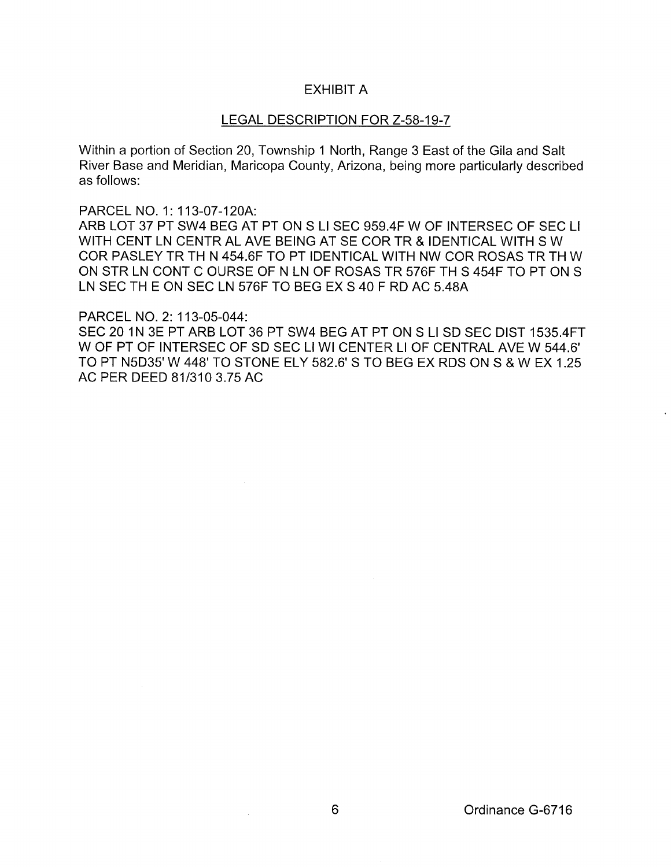## EXHIBIT A

## LEGAL DESCRIPTION FOR Z-58-19-7

Within a portion of Section 20, Township 1 North, Range 3 East of the Gila and Salt River Base and Meridian, Maricopa County, Arizona, being more particularly described as follows:

PARCEL N0.1: 113-07-120A:

ARB LOT 37 PT SW4 BEG AT PT ON S Ll SEC 959.4F W OF INTERSEC OF SEC L1 WITH CENT LN CENTRAL AVE BEING AT SECOR TR & IDENTICAL WITH S W COR PASLEY TR TH N 454.6F TO PT IDENTICAL WITH NW COR ROSAS TR TH W ON STR LN CONT C OURSE OF N LN OF ROSAS TR 576F TH S 454F TO PT ON S LN SEC TH E ON SEC LN 576F TO BEG EX S 40 F RD AC 5.48A

PARCEL NO.2: 113-05-044:

SEC 20 1N 3E PT ARB LOT 36 PT SW4 BEG AT PT ON S Ll SD SEC DIST 1535.4FT W OF PT OF INTERSEC OF SD SEC Ll WI CENTER Ll OF CENTRAL AVE W 544.6' TO PT N5D35' W 448' TO STONE ELY 582.6' S TO BEG EX RDS ON S & W EX 1.25 AC PER DEED 81/310 3.75 AC